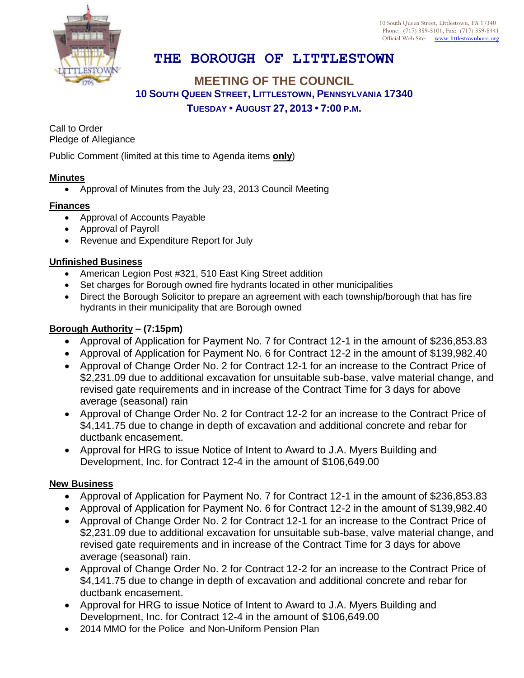

10 South Queen Street, Littlestown, PA 17340 Phone: (717) 359-5101, Fax: (717) 359-8441 Official Web Site: [www.littlestownboro.org](http://www.littlestown.us/)

# **THE BOROUGH OF LITTLESTOWN**

## **MEETING OF THE COUNCIL 10 SOUTH QUEEN STREET, LITTLESTOWN, PENNSYLVANIA 17340 TUESDAY • AUGUST 27, 2013 • 7:00 P.M.**

Call to Order Pledge of Allegiance

Public Comment (limited at this time to Agenda items **only**)

### **Minutes**

Approval of Minutes from the July 23, 2013 Council Meeting

#### **Finances**

- Approval of Accounts Payable
- Approval of Payroll
- Revenue and Expenditure Report for July

#### **Unfinished Business**

- American Legion Post #321, 510 East King Street addition
- Set charges for Borough owned fire hydrants located in other municipalities
- Direct the Borough Solicitor to prepare an agreement with each township/borough that has fire hydrants in their municipality that are Borough owned

#### **Borough Authority – (7:15pm)**

- Approval of Application for Payment No. 7 for Contract 12-1 in the amount of \$236,853.83
- Approval of Application for Payment No. 6 for Contract 12-2 in the amount of \$139,982.40
- Approval of Change Order No. 2 for Contract 12-1 for an increase to the Contract Price of \$2,231.09 due to additional excavation for unsuitable sub-base, valve material change, and revised gate requirements and in increase of the Contract Time for 3 days for above average (seasonal) rain
- Approval of Change Order No. 2 for Contract 12-2 for an increase to the Contract Price of \$4,141.75 due to change in depth of excavation and additional concrete and rebar for ductbank encasement.
- Approval for HRG to issue Notice of Intent to Award to J.A. Myers Building and Development, Inc. for Contract 12-4 in the amount of \$106,649.00

#### **New Business**

- Approval of Application for Payment No. 7 for Contract 12-1 in the amount of \$236,853.83
- Approval of Application for Payment No. 6 for Contract 12-2 in the amount of \$139,982.40
- Approval of Change Order No. 2 for Contract 12-1 for an increase to the Contract Price of \$2,231.09 due to additional excavation for unsuitable sub-base, valve material change, and revised gate requirements and in increase of the Contract Time for 3 days for above average (seasonal) rain.
- Approval of Change Order No. 2 for Contract 12-2 for an increase to the Contract Price of \$4,141.75 due to change in depth of excavation and additional concrete and rebar for ductbank encasement.
- Approval for HRG to issue Notice of Intent to Award to J.A. Myers Building and Development, Inc. for Contract 12-4 in the amount of \$106,649.00
- 2014 MMO for the Police and Non-Uniform Pension Plan